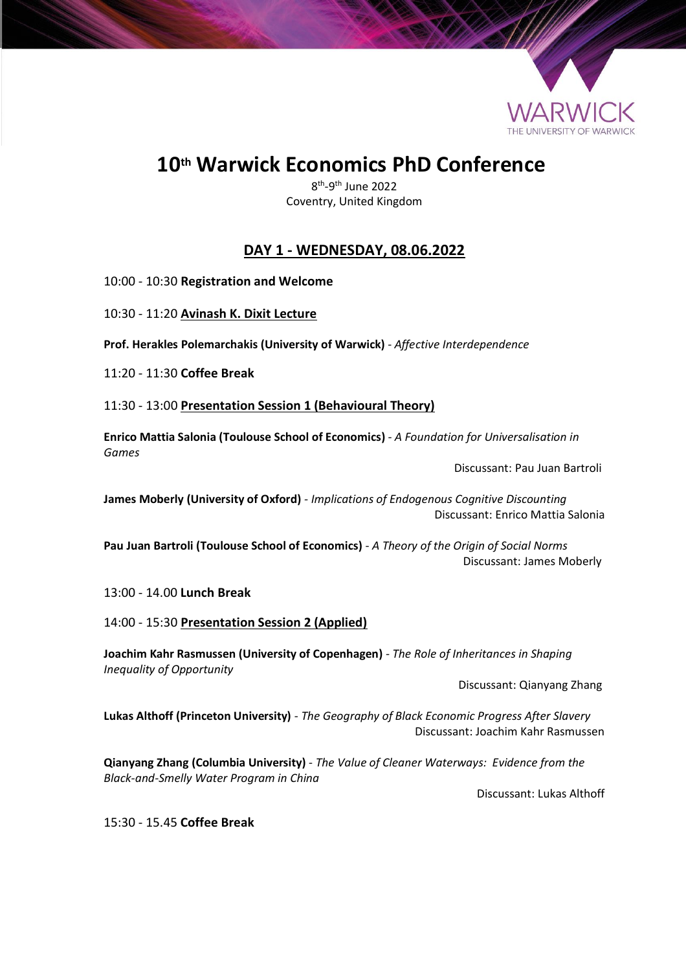

# **10th Warwick Economics PhD Conference**

8<sup>th</sup>-9<sup>th</sup> June 2022 Coventry, United Kingdom

## **DAY 1 - WEDNESDAY, 08.06.2022**

10:00 - 10:30 **Registration and Welcome**

10:30 - 11:20 **Avinash K. Dixit Lecture**

**Prof. Herakles Polemarchakis (University of Warwick)** - *Affective Interdependence*

11:20 - 11:30 **Coffee Break**

11:30 - 13:00 **Presentation Session 1 (Behavioural Theory)**

**Enrico Mattia Salonia (Toulouse School of Economics)** - *A Foundation for Universalisation in Games*

Discussant: Pau Juan Bartroli

**James Moberly (University of Oxford)** *- Implications of Endogenous Cognitive Discounting*  Discussant: Enrico Mattia Salonia

**Pau Juan Bartroli (Toulouse School of Economics)** - *A Theory of the Origin of Social Norms* Discussant: James Moberly

13:00 - 14.00 **Lunch Break**

14:00 - 15:30 **Presentation Session 2 (Applied)**

**Joachim Kahr Rasmussen (University of Copenhagen)** *- The Role of Inheritances in Shaping Inequality of Opportunity* 

Discussant: Qianyang Zhang

**Lukas Althoff (Princeton University)** - *The Geography of Black Economic Progress After Slavery* Discussant: Joachim Kahr Rasmussen

**Qianyang Zhang (Columbia University)** - *The Value of Cleaner Waterways: Evidence from the Black-and-Smelly Water Program in China* 

Discussant: Lukas Althoff

15:30 - 15.45 **Coffee Break**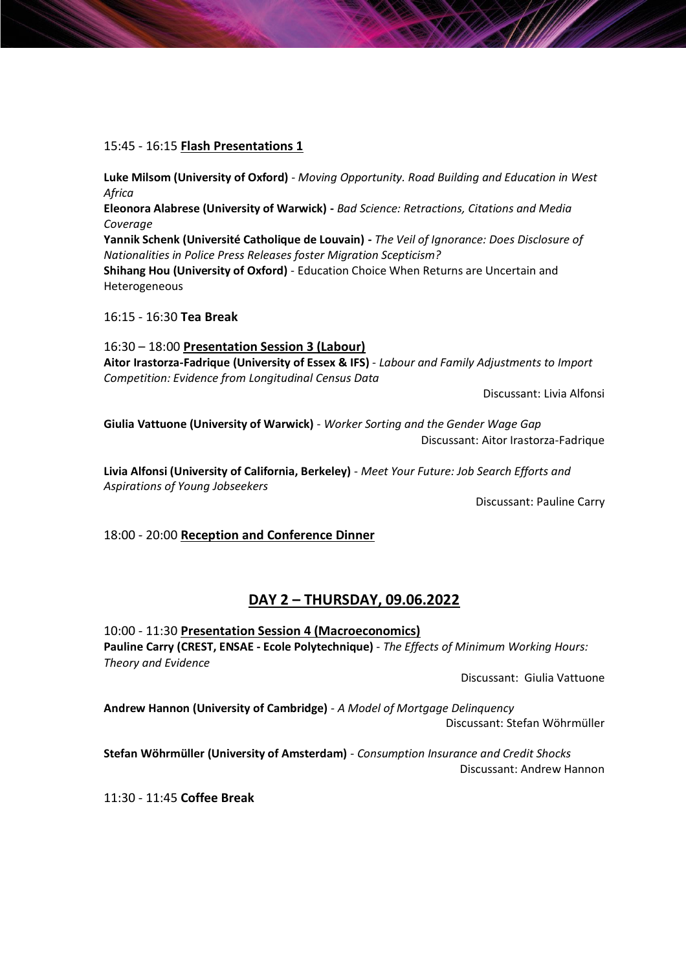### 15:45 - 16:15 **Flash Presentations 1**

**Luke Milsom (University of Oxford)** - *Moving Opportunity. Road Building and Education in West Africa* **Eleonora Alabrese (University of Warwick) -** *Bad Science: Retractions, Citations and Media Coverage* **Yannik Schenk (Université Catholique de Louvain) -** *The Veil of Ignorance: Does Disclosure of Nationalities in Police Press Releases foster Migration Scepticism?* **Shihang Hou (University of Oxford)** - Education Choice When Returns are Uncertain and Heterogeneous

16:15 - 16:30 **Tea Break**

16:30 – 18:00 **Presentation Session 3 (Labour) Aitor Irastorza-Fadrique (University of Essex & IFS)** - *Labour and Family Adjustments to Import Competition: Evidence from Longitudinal Census Data*

Discussant: Livia Alfonsi

**Giulia Vattuone (University of Warwick)** - *Worker Sorting and the Gender Wage Gap*  Discussant: Aitor Irastorza-Fadrique

**Livia Alfonsi (University of California, Berkeley)** - *Meet Your Future: Job Search Efforts and Aspirations of Young Jobseekers*

Discussant: Pauline Carry

18:00 - 20:00 **Reception and Conference Dinner**

## **DAY 2 – THURSDAY, 09.06.2022**

10:00 - 11:30 **Presentation Session 4 (Macroeconomics) Pauline Carry (CREST, ENSAE - Ecole Polytechnique)** - *The Effects of Minimum Working Hours: Theory and Evidence*

Discussant: Giulia Vattuone

**Andrew Hannon (University of Cambridge)** - *A Model of Mortgage Delinquency* Discussant: Stefan Wöhrmüller

**Stefan Wöhrmüller (University of Amsterdam)** - *Consumption Insurance and Credit Shocks* Discussant: Andrew Hannon

11:30 - 11:45 **Coffee Break**